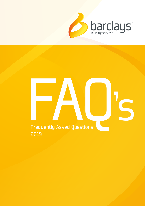

# Frequently Asked Questions 's 2019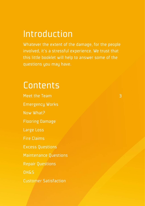### Introduction

Whatever the extent of the damage, for the people involved, it's a stressful experience. We trust that this little booklet will help to answer some of the questions you may have.

### **Contents**

Meet the Team **Emergency Works** Now What? **Flooring Damage Large Loss Fire Claims Excess Questions Maintenance Questions Repair Questions**  $0HgS$ **Customer Satisfaction** 

3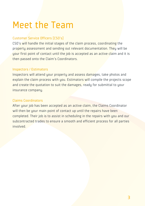# Meet the Team

#### Customer Service Officers [CSO's]

CSO's will handle the initial stages of the claim process, coordinating the property assessment and sending out relevant documentation. They will be your first point of contact until the job is accepted as an active claim and it is then passed onto the Claim's Coordinators.

#### Inspectors / Estimators

Inspectors will attend your property and assess damages, take photos and explain the claim process with you. Estimators will compile the projects scope and create the quotation to suit the damages, ready for submittal to your insurance company.

#### Claims Coordinators

After your job has been accepted as an active claim, the Claims Coordinator will then be your main point of contact up until the repairs have been completed. Their job is to assist in scheduling in the repairs with you and our subcontracted trades to ensure a smooth and efficient process for all parties heylovni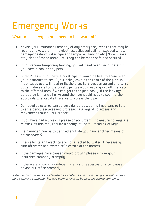# Emergency Works

#### What are the key points I need to be aware of?

- Advise your Insurance Company of any emergency repairs that may be required [e.g. water in the electrics, collapsed ceiling, exposed wires, damaged/leaking water pipe and temporary fencing etc.] Note: Please stay clear of these areas until they can be made safe and secured.
- If you require temporary fencing, you will need to advise our staff if you have a pool or any pets.
- Burst Pipes if you have a burst pipe, it would be best to speak with your insurance to see if your policy covers the repair of the pipe. In  $\frac{1}{2}$  most cases you will need to fix the pipe, Barclays can attend and carry out a make safe for the burst pipe. We would usually cap off the water to the affected area if we can get to the pipe easily. If the leaking/ burst pipe is in a wall or ground then we would need to seek further approvals to excavate this area to access the pipe.
- Damaged structures can be very dangerous, so it's important to listen to emergency services and professionals regarding access and movement around your property.
- If you have had a break in please check urgently to ensure no keys are missing as this may require a change of locks / recoding of keys.
- If a damaged door is to be fixed shut, do you have another means of entrance/exit?
- Ensure lights and electrics are not affected by water. If necessary, turn off water and switch off electrics at the meters.
- If the damages have caused mould growth please inform your insurance company promptly.
- If there are known hazardous materials or asbestos on site, please advise our office promptly.

Note: Blinds & carpets are classified as contents and not building and will be dealt by a separate company that has been organised by your insurance company.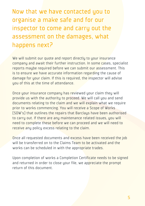Now that we have contacted you to organise a make safe and for our inspector to come and carry out the assessment on the damages, what happens next?

We will submit our quote and report directly to your insurance company and await their further instruction. In some cases, specialist reports maybe required before we can submit our assessment. This is to ensure we have accurate information regarding the cause of damage for your claim. If this is required, the inspector will advise you of this at the time of attendance.

Once your insurance company has reviewed your claim they will provide us with the authority to proceed. We will call you and send documents relating to the claim and we will explain what we require prior to works commencing. You will receive a Scope of Works (SOW's) that outlines the repairs that Barclays have been authorised to carry out. If there are any maintenance related issues, you will need to complete these before we can proceed and we will need to receive any policy excess relating to the claim.

Once all requested documents and excess have been received the job will be transferred on to the Claims Team to be activated and the works can be scheduled in with the appropriate trades.

Upon completion of works a Completion Certificate needs to be signed and returned in order to close your file, we appreciate the prompt return of this document.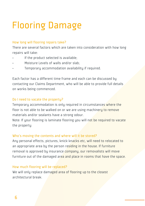# Flooring Damage

#### How long will flooring repairs take?

There are several factors which are taken into consideration with how long repairs will take:

- If the product selected is available:
- Moisture Levels of walls and/or slab;
- Temporary accommodation availability if required.

Each factor has a different time frame and each can be discussed by contacting our Claims Department, who will be able to provide full details on works being commenced.

#### Do I need to vacate the property?

Temporary accommodation is only required in circumstances where the floor is not able to be walked on or we are using machinery to remove materials and/or sealants have a strong odour.

Note: If your flooring is laminate flooring you will not be required to vacate the property

#### Who's moving the contents and where will it be stored?

Any personal effects, pictures, knick knacks etc, will need to relocated to an appropriate area by the person residing in the house. If furniture removal is approved by insurance company, our removalists will move furniture out of the damaged area and place in rooms that have the space.

#### How much flooring will be replaced?

We will only replace damaged area of flooring up to the closest architectural break.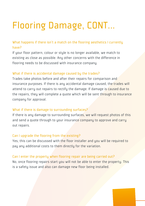# Flooring Damage, CONT...

#### What happens if there isn't a match on the flooring aesthetics I currently have?

If your floor pattern, colour or style is no longer available, we match to existing as close as possible. Any other concerns with the difference in flooring needs to be discussed with insurance company.

#### What if there is accidental damage caused by the trades?

Trades take photos before and after their repairs for comparison and insurance purposes. If there is any accidental damage caused, the trades will attend to carry out repairs to rectify the damage. If damage is caused due to the repairs, they will complete a quote which will be sent through to insurance company for approval.

#### What if there is damage to surrounding surfaces?

If there is any damage to surrounding surfaces, we will request photos of this and send a quote through to your insurance company to approve and carry out repairs.

#### Can I upgrade the flooring from the existing?

Yes, this can be discussed with the floor installer and you will be required to pay any additional costs to them directly for the variation.

#### Can I enter the property when flooring repair are being carried out?

No, once flooring repairs start you will not be able to enter the property. This is a safety issue and also can damage new floor being installed.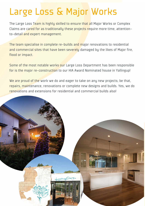# Large Loss & Major Works

The Large Loss Team is highly skilled to ensure that all Major Works or Complex Claims are cared for as traditionally these projects require more time, attentionto-detail and expert management.

The team specialise in complete re-builds and major renovations to residential and commercial sites that have been severely damaged by the likes of Major fire, flood or impact.

Some of the most notable works our Large Loss Department has been responsible for is the major re-construction to our HIA Award Nominated house in Yallingup!

We are proud of the work we do and eager to take on any new projects; be that, repairs, maintenance, renovations or complete new designs and builds. Yes, we do renovations and extensions for residential and commercial builds also!

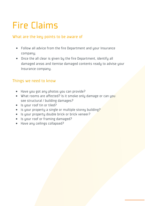# *<u>Sire Claims</u>*

#### What are the key points to be aware of

- Sollow all advice from the Xre Department and your Insurance company;
- Ance the all clear is given by the Xre Department, identify all damaged areas and itemise damaged contents ready to advise your Insurance company

#### Things we need to know:

- : ShWkag Yaf S`k bZafae kag US` boahMVI
- 1 ZSf daa\_e SdMSXXWLMV1 ;e [f e\_ a] Wa` k VS\_SYWad US` kag eWefdgUfgdS^! Tg[V[YVS\_SYVe1
- $\bullet$  :e kaqddaaXf $\uparrow$  adf $\uparrow$ W1
- Te kaad bobb Wark S en Y Wad a filo Wefad WK Tar V1
- :e kagdbdabVdfk VagTWTdUJ adTdUJ hWWd1
- :e kaqddaaXadXb\_ [YVS\_SYW1
- : ShWS`k UWF Ye Ua^SbeW1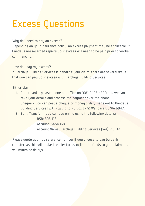### Excess Questions

#### Why do I need to pay an excess?

Depending on your Insurance policy, an excess payment may be applicable. If Barclays are awarded repairs your excess will need to be paid prior to works commencing.

How do I pay my excess?

If Barclays Building Services is handling your claim, there are several ways that you can pay your excess with Barclays Building Services.

Either via;

- 1. Credit card please phone our office on (08) 9406 4800 and we can take your details and process the payment over the phone:
- 2. Cheque you can post a cheque or money order, made out to Barclays Building Services (WA) Ptu Ltd to PO Box 1772 Wangara DC WA 6947:
- 3. Bank Transfer you can pay online using the following details:

 BSB: 306 113 Account: 5454368 Account Name: Barclaus Building Services (WA) Ptu Ltd

Please quote your job reference number if you choose to pay by bank transfer, as this will make it easier for us to link the funds to your claim and will minimise delaus.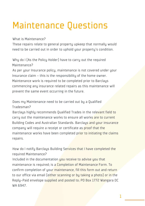# Maintenance Questions

#### What is Maintenance?

These repairs relate to general property upkeep that normally would need to be carried out in order to uphold your property's condition.

Why do I (As the Policy Holder) have to carry out the required Maintenance?

As per your Insurance policy, maintenance is not covered under your Insurance claim – this is the responsibility of the home owner. Maintenance work is required to be completed prior to Barclays commencing any insurance related repairs as this maintenance will prevent the same event occurring in the future.

Does my Maintenance need to be carried out by a Qualified Tradesman?

Barclays highly recommends Qualified Trades in the relevant field to carry out the maintenance works to ensure all works are to current Building Codes and Australian Standards. Barclays and your insurance company will require a receipt or certificate as proof that the maintenance works have been completed prior to initiating the claims repairs.

How do I notifu Barclaus Building Services that I have completed the required Maintenance?

Included in the documentation you receive to advise you that maintenance is required; is a Completion of Maintenance Form. To confirm completion of your maintenance, fill this form out and return to our office via email (either scanning or bu taking a photo) or in the Reply-Paid envelope supplied and posted to; PO Box 1772 Wangara DC WA 6947

1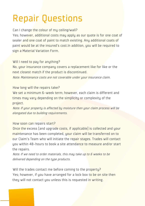# Repair Questions

Can I change the colour of mu ceiling/wall?

Yes: however, additional costs may apply as our quote is for one coat of sealer and one coat of paint to match existing. Any additional coats of paint would be at the insured's cost.In addition, you will be required to sign a Material Variation Form.

Will I need to pay for anything?

No, your insurance company covers a replacement like for like or the next closest match if the product is discontinued.

Note: Maintenance costs are not coverable under your insurance claim.

#### How long will the repairs take?

We set a minimum 6-week term; however, each claim is different and times may vary depending on the simplicity or complexity of the project.

Note: If your property is affected by moisture then your claim process will be elongated due to building requirements.

#### How soon can repairs start?

Once the excess [and upgrade costs, if applicable] is collected and your maintenance has been completed, your claim will be transferred on to our Claim's Team who will initiate the repair stages. Trades will contact you within 48-hours to book a site attendance to measure and/or start the repairs.

Note: If we need to order materials, this may take up to 6 weeks to be delivered depending on the type products.

Will the trades contact me before coming to the property? Yes; however, if you have arranged for a lock box to be on site then they will not contact you unless this is requested in writing.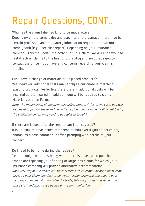# Repair Questions, CONT...

Why has the claim taken so long to be made active? Depending on the complexity and specifics of the damage, there may be certain processes and mandatory information required that we must complu with [e.g. Specialist report]. Depending on your insurance company, this may delay the activity of your claim. We will endeavour to fast-track all claims to the best of our abilitu and encourage you to contact the office if you have any concerns regarding your claim's timeline.

Can I have a change of materials or upgraded products? Yes; however, additional costs may apply as our quote is matching existing products like for like therefore any additional costs will be incurred by the insured. In addition, you will be required to sign a Material Variation Form.

Note: The modification of one item may affect others. If this is the case, you will also need to pay for these additional items [E.g. If you request a different basin, the vanity/bench top may need to be replaced to suit].

If there are issues after the repairs, am I still covered? It is unusual to have issues after repairs, however if you do notice any anomalies please contact our office promptly with details of your concern.

Do I need to be home during the repairs?

.

Yes; the only exceptions being when there is asbestos in your home, trades are replacing your flooring or large loss claims for which your insurance company will provide alternative accommodation. Note: Majority of our trades are subcontracted so all communication must come direct to your Claim Coordinator so we can action promptly and update your insurance company. If you advise the trade, this may not get passed onto our office staff and may cause delays or miscommunication.

13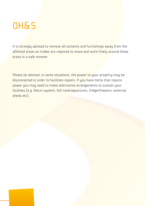### OH&S

It is strongly advised to remove all contents and furnishings away from the affected areas as trades are required to move and work freely around these areas in a safe manner.

Please be advised, in some situations, the power to your property may be disconnected in order to facilitate repairs. If you have items that require power you may need to make alternative arrangements to sustain your facilities [e.g. Alarm system, fish tank/aquariums, fridge/freezers, external sheds etc].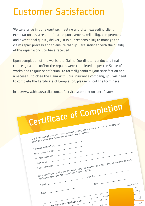### Customer Satisfaction

We take pride in our expertise, meeting and often exceeding client expectations as a result of our responsiveness, reliability, competence, and exceptional quality delivery. It is our responsibility to manage the claim repair process and to ensure that you are satisfied with the quality of the repair work you have received.

Upon completion of the works the Claims Coordinator conducts a final courtesy call to confirm the repairs were completed as per the Scope of Works and to your satisfaction. To formally confirm your satisfaction and a necessity to close the claim with your insurance company, you will need to complete the Certificate of Completion, please fill out the form here:

https://www.bbsaustralia.com.au/services/completion-certificate/

| <b>Certificate of Completion</b>                                                                         |                       |
|----------------------------------------------------------------------------------------------------------|-----------------------|
| In order to swiftly finalise your insurance claims, simply sign and return this form in the reply paid   |                       |
|                                                                                                          |                       |
|                                                                                                          |                       |
|                                                                                                          |                       |
| envelope provided once the work required has been completed.                                             |                       |
|                                                                                                          |                       |
| Insurance Ref Number:                                                                                    |                       |
|                                                                                                          |                       |
| Claim / Policy Number:                                                                                   |                       |
| Our Reference Number:                                                                                    |                       |
| I / we would like to confirm that the works to my / our property, as instructed by our insurance company |                       |
| Client Name:                                                                                             |                       |
| Property Address: -                                                                                      |                       |
| has been completed by Barclays Building Services Pty Ltd.                                                |                       |
|                                                                                                          |                       |
| Signed:                                                                                                  |                       |
|                                                                                                          |                       |
| Date: $-$<br>Signed: -                                                                                   | (tick applicable box) |
|                                                                                                          |                       |
|                                                                                                          | Excellent             |
|                                                                                                          | Very Good<br>Good     |
| Average<br>Poor                                                                                          |                       |
|                                                                                                          |                       |
| mer Satisfaction Feedback report                                                                         |                       |